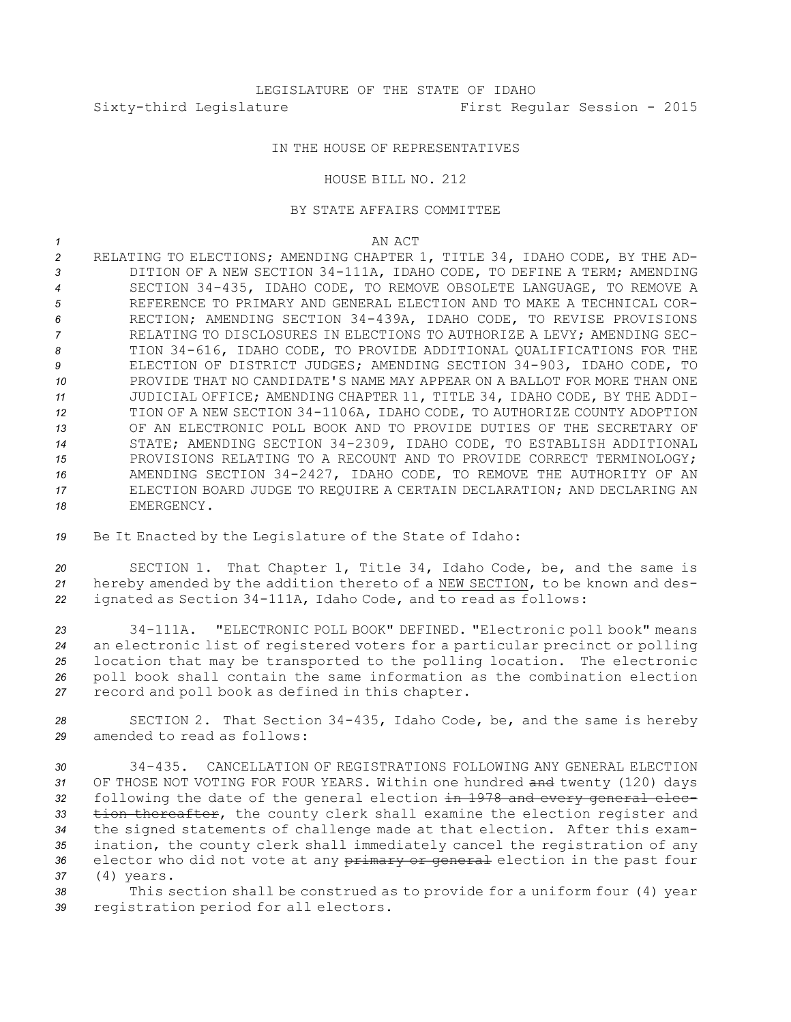## IN THE HOUSE OF REPRESENTATIVES

## HOUSE BILL NO. 212

## BY STATE AFFAIRS COMMITTEE

## *1* AN ACT

 RELATING TO ELECTIONS; AMENDING CHAPTER 1, TITLE 34, IDAHO CODE, BY THE AD- DITION OF A NEW SECTION 34-111A, IDAHO CODE, TO DEFINE A TERM; AMENDING SECTION 34-435, IDAHO CODE, TO REMOVE OBSOLETE LANGUAGE, TO REMOVE A REFERENCE TO PRIMARY AND GENERAL ELECTION AND TO MAKE A TECHNICAL COR- RECTION; AMENDING SECTION 34-439A, IDAHO CODE, TO REVISE PROVISIONS RELATING TO DISCLOSURES IN ELECTIONS TO AUTHORIZE A LEVY; AMENDING SEC- TION 34-616, IDAHO CODE, TO PROVIDE ADDITIONAL QUALIFICATIONS FOR THE ELECTION OF DISTRICT JUDGES; AMENDING SECTION 34-903, IDAHO CODE, TO PROVIDE THAT NO CANDIDATE'S NAME MAY APPEAR ON A BALLOT FOR MORE THAN ONE JUDICIAL OFFICE; AMENDING CHAPTER 11, TITLE 34, IDAHO CODE, BY THE ADDI- TION OF A NEW SECTION 34-1106A, IDAHO CODE, TO AUTHORIZE COUNTY ADOPTION OF AN ELECTRONIC POLL BOOK AND TO PROVIDE DUTIES OF THE SECRETARY OF STATE; AMENDING SECTION 34-2309, IDAHO CODE, TO ESTABLISH ADDITIONAL PROVISIONS RELATING TO A RECOUNT AND TO PROVIDE CORRECT TERMINOLOGY; AMENDING SECTION 34-2427, IDAHO CODE, TO REMOVE THE AUTHORITY OF AN ELECTION BOARD JUDGE TO REQUIRE A CERTAIN DECLARATION; AND DECLARING AN EMERGENCY.

*<sup>19</sup>* Be It Enacted by the Legislature of the State of Idaho:

*<sup>20</sup>* SECTION 1. That Chapter 1, Title 34, Idaho Code, be, and the same is *<sup>21</sup>* hereby amended by the addition thereto of <sup>a</sup> NEW SECTION, to be known and des-*<sup>22</sup>* ignated as Section 34-111A, Idaho Code, and to read as follows:

 34-111A. "ELECTRONIC POLL BOOK" DEFINED. "Electronic poll book" means an electronic list of registered voters for <sup>a</sup> particular precinct or polling location that may be transported to the polling location. The electronic poll book shall contain the same information as the combination election record and poll book as defined in this chapter.

*<sup>28</sup>* SECTION 2. That Section 34-435, Idaho Code, be, and the same is hereby *29* amended to read as follows:

 34-435. CANCELLATION OF REGISTRATIONS FOLLOWING ANY GENERAL ELECTION OF THOSE NOT VOTING FOR FOUR YEARS. Within one hundred and twenty (120) days following the date of the general election in 1978 and every general elec- tion thereafter, the county clerk shall examine the election register and the signed statements of challenge made at that election. After this exam- ination, the county clerk shall immediately cancel the registration of any 36 elector who did not vote at any primary or general election in the past four (4) years.

*<sup>38</sup>* This section shall be construed as to provide for <sup>a</sup> uniform four (4) year *<sup>39</sup>* registration period for all electors.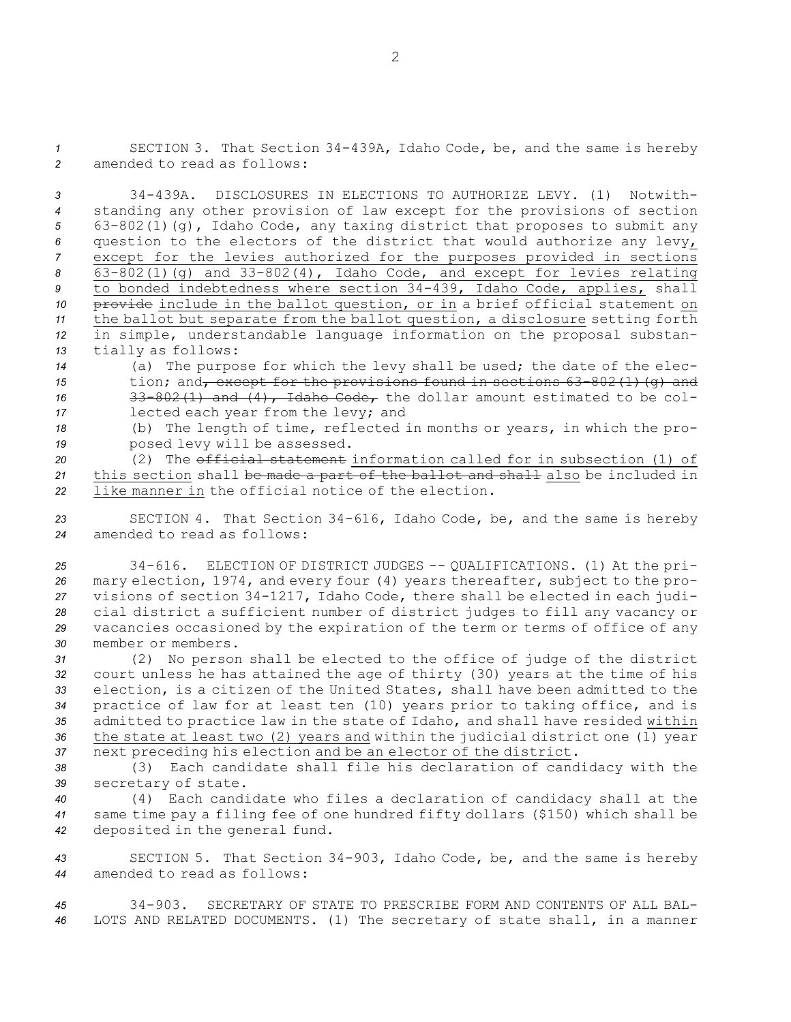*<sup>1</sup>* SECTION 3. That Section 34-439A, Idaho Code, be, and the same is hereby *2* amended to read as follows:

 34-439A. DISCLOSURES IN ELECTIONS TO AUTHORIZE LEVY. (1) Notwith- standing any other provision of law except for the provisions of section 63-802(1)(g), Idaho Code, any taxing district that proposes to submit any question to the electors of the district that would authorize any levy, except for the levies authorized for the purposes provided in sections 63-802(1)(g) and 33-802(4), Idaho Code, and except for levies relating to bonded indebtedness where section 34-439, Idaho Code, applies, shall 10 provide include in the ballot question, or in a brief official statement on the ballot but separate from the ballot question, <sup>a</sup> disclosure setting forth in simple, understandable language information on the proposal substan-tially as follows:

*<sup>14</sup>* (a) The purpose for which the levy shall be used; the date of the elec-15 tion; and<sub>r</sub> except for the provisions found in sections 63-802(1)(g) and 16 33-802(1) and (4), Idaho Code, the dollar amount estimated to be col-*<sup>17</sup>* lected each year from the levy; and

*<sup>18</sup>* (b) The length of time, reflected in months or years, in which the pro-*<sup>19</sup>* posed levy will be assessed.

*20* (2) The official statement information called for in subsection (1) of *<sup>21</sup>* this section shall be made <sup>a</sup> part of the ballot and shall also be included in *22* like manner in the official notice of the election.

*<sup>23</sup>* SECTION 4. That Section 34-616, Idaho Code, be, and the same is hereby *24* amended to read as follows:

 34-616. ELECTION OF DISTRICT JUDGES -- QUALIFICATIONS. (1) At the pri- mary election, 1974, and every four (4) years thereafter, subject to the pro- visions of section 34-1217, Idaho Code, there shall be elected in each judi- cial district <sup>a</sup> sufficient number of district judges to fill any vacancy or vacancies occasioned by the expiration of the term or terms of office of any member or members.

 (2) No person shall be elected to the office of judge of the district court unless he has attained the age of thirty (30) years at the time of his election, is <sup>a</sup> citizen of the United States, shall have been admitted to the practice of law for at least ten (10) years prior to taking office, and is admitted to practice law in the state of Idaho, and shall have resided within the state at least two (2) years and within the judicial district one (1) year next preceding his election and be an elector of the district.

*<sup>38</sup>* (3) Each candidate shall file his declaration of candidacy with the *<sup>39</sup>* secretary of state.

*<sup>40</sup>* (4) Each candidate who files <sup>a</sup> declaration of candidacy shall at the *<sup>41</sup>* same time pay <sup>a</sup> filing fee of one hundred fifty dollars (\$150) which shall be *<sup>42</sup>* deposited in the general fund.

*<sup>43</sup>* SECTION 5. That Section 34-903, Idaho Code, be, and the same is hereby *44* amended to read as follows:

*45* 34-903. SECRETARY OF STATE TO PRESCRIBE FORM AND CONTENTS OF ALL BAL-*<sup>46</sup>* LOTS AND RELATED DOCUMENTS. (1) The secretary of state shall, in <sup>a</sup> manner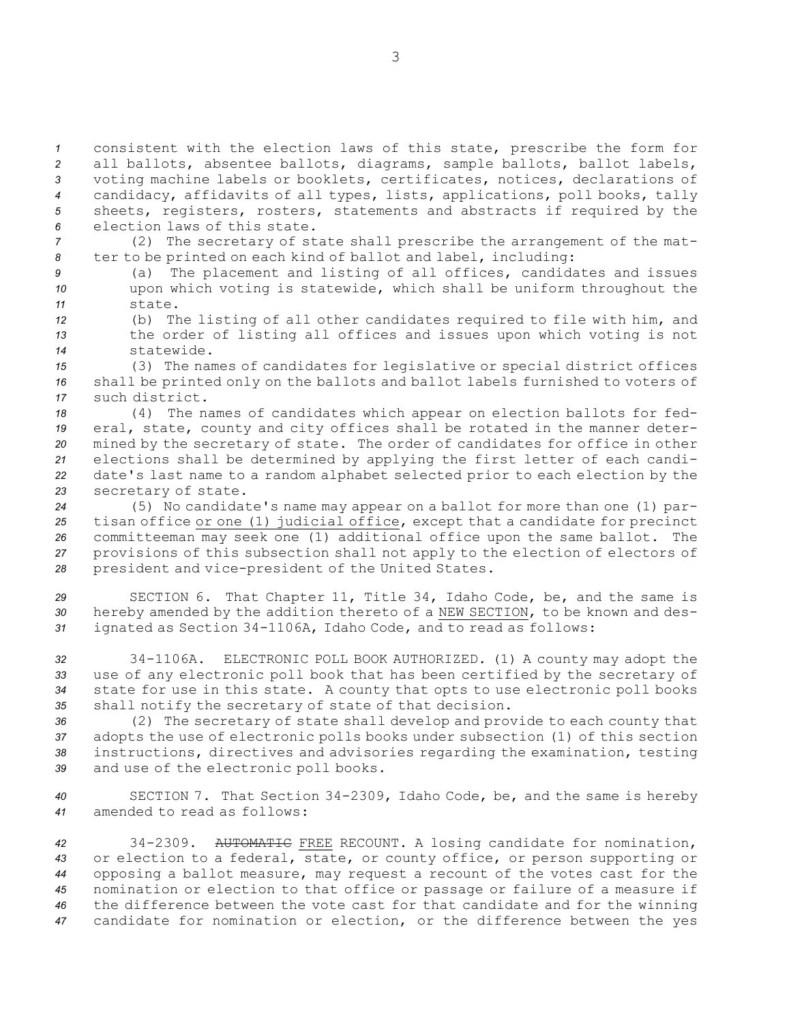consistent with the election laws of this state, prescribe the form for all ballots, absentee ballots, diagrams, sample ballots, ballot labels, voting machine labels or booklets, certificates, notices, declarations of candidacy, affidavits of all types, lists, applications, poll books, tally sheets, registers, rosters, statements and abstracts if required by the election laws of this state.

*<sup>7</sup>* (2) The secretary of state shall prescribe the arrangement of the mat-*<sup>8</sup>* ter to be printed on each kind of ballot and label, including:

- *<sup>9</sup>* (a) The placement and listing of all offices, candidates and issues *<sup>10</sup>* upon which voting is statewide, which shall be uniform throughout the *11* state.
- *<sup>12</sup>* (b) The listing of all other candidates required to file with him, and *<sup>13</sup>* the order of listing all offices and issues upon which voting is not *14* statewide.
- *<sup>15</sup>* (3) The names of candidates for legislative or special district offices *<sup>16</sup>* shall be printed only on the ballots and ballot labels furnished to voters of *17* such district.

 (4) The names of candidates which appear on election ballots for fed- eral, state, county and city offices shall be rotated in the manner deter- mined by the secretary of state. The order of candidates for office in other elections shall be determined by applying the first letter of each candi- date's last name to <sup>a</sup> random alphabet selected prior to each election by the secretary of state.

 (5) No candidate's name may appear on <sup>a</sup> ballot for more than one (1) par- tisan office or one (1) judicial office, except that <sup>a</sup> candidate for precinct committeeman may seek one (1) additional office upon the same ballot. The provisions of this subsection shall not apply to the election of electors of president and vice-president of the United States.

*<sup>29</sup>* SECTION 6. That Chapter 11, Title 34, Idaho Code, be, and the same is *<sup>30</sup>* hereby amended by the addition thereto of <sup>a</sup> NEW SECTION, to be known and des-*<sup>31</sup>* ignated as Section 34-1106A, Idaho Code, and to read as follows:

 34-1106A. ELECTRONIC POLL BOOK AUTHORIZED. (1) A county may adopt the use of any electronic poll book that has been certified by the secretary of state for use in this state. <sup>A</sup> county that opts to use electronic poll books shall notify the secretary of state of that decision.

 (2) The secretary of state shall develop and provide to each county that adopts the use of electronic polls books under subsection (1) of this section instructions, directives and advisories regarding the examination, testing and use of the electronic poll books.

*<sup>40</sup>* SECTION 7. That Section 34-2309, Idaho Code, be, and the same is hereby *41* amended to read as follows:

 34-2309. AUTOMATIC FREE RECOUNT. <sup>A</sup> losing candidate for nomination, or election to <sup>a</sup> federal, state, or county office, or person supporting or opposing <sup>a</sup> ballot measure, may request <sup>a</sup> recount of the votes cast for the nomination or election to that office or passage or failure of <sup>a</sup> measure if the difference between the vote cast for that candidate and for the winning candidate for nomination or election, or the difference between the yes